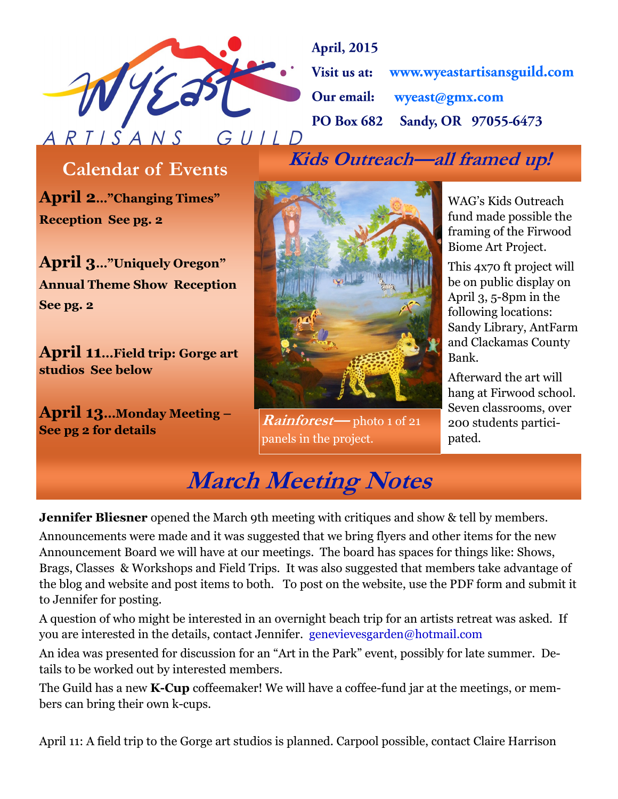

**April, 2015** Visit us at: www.wyeastartisansguild.com wyeast@gmx.com Our email: Sandy, OR 97055-6473 **PO Box 682** 

**Kids Outreach—all framed up! Calendar of Events**

**April 2…"Changing Times" Reception See pg. 2**

**April 3…"Uniquely Oregon" Annual Theme Show Reception See pg. 2**

**April 11...Field trip: Gorge art studios See below**

**April 13...Monday Meeting – See pg 2 for details**



**Rainforest—** photo 1 of 21 panels in the project.

WAG's Kids Outreach fund made possible the framing of the Firwood Biome Art Project.

This 4x70 ft project will be on public display on April 3, 5-8pm in the following locations: Sandy Library, AntFarm and Clackamas County Bank.

Afterward the art will hang at Firwood school. Seven classrooms, over 200 students participated.

## **March Meeting Notes**

**Jennifer Bliesner** opened the March 9th meeting with critiques and show & tell by members.

Announcements were made and it was suggested that we bring flyers and other items for the new Announcement Board we will have at our meetings. The board has spaces for things like: Shows, Brags, Classes & Workshops and Field Trips. It was also suggested that members take advantage of the blog and website and post items to both. To post on the website, use the PDF form and submit it to Jennifer for posting.

A question of who might be interested in an overnight beach trip for an artists retreat was asked. If you are interested in the details, contact Jennifer. genevievesgarden@hotmail.com

An idea was presented for discussion for an "Art in the Park" event, possibly for late summer. Details to be worked out by interested members.

The Guild has a new **K-Cup** coffeemaker! We will have a coffee-fund jar at the meetings, or members can bring their own k-cups.

April 11: A field trip to the Gorge art studios is planned. Carpool possible, contact Claire Harrison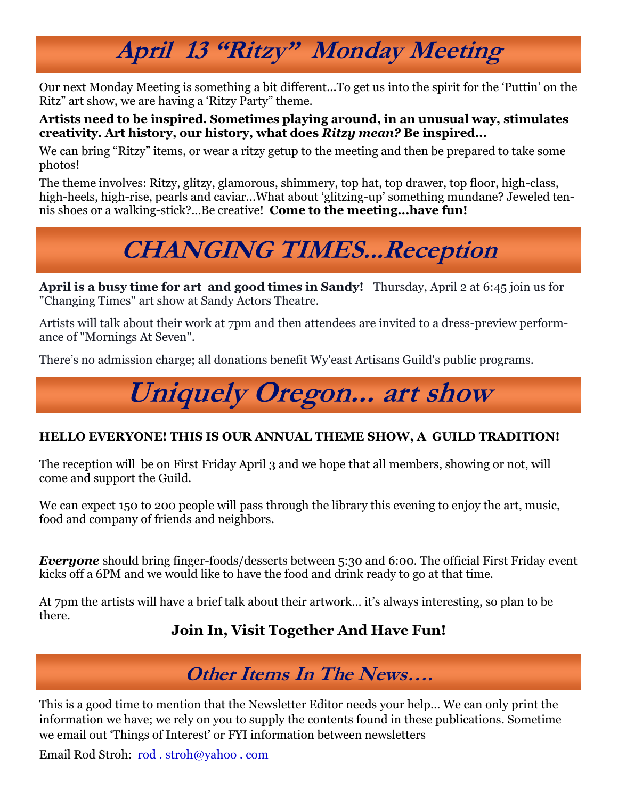# **April 13 "Ritzy" Monday Meeting**

Our next Monday Meeting is something a bit different...To get us into the spirit for the 'Puttin' on the Ritz" art show, we are having a 'Ritzy Party" theme.

#### **Artists need to be inspired. Sometimes playing around, in an unusual way, stimulates creativity. Art history, our history, what does** *Ritzy mean?* **Be inspired...**

We can bring "Ritzy" items, or wear a ritzy getup to the meeting and then be prepared to take some photos!

The theme involves: Ritzy, glitzy, glamorous, shimmery, top hat, top drawer, top floor, high-class, high-heels, high-rise, pearls and caviar...What about 'glitzing-up' something mundane? Jeweled tennis shoes or a walking-stick?...Be creative! **Come to the meeting...have fun!**

# **CHANGING TIMES...Reception**

**April is a busy time for art and good times in Sandy!** Thursday, April 2 at 6:45 join us for "Changing Times" art show at Sandy Actors Theatre.

Artists will talk about their work at 7pm and then attendees are invited to a dress-preview performance of "Mornings At Seven".

There's no admission charge; all donations benefit Wy'east Artisans Guild's public programs.

# **Uniquely Oregon... art show**

#### **HELLO EVERYONE! THIS IS OUR ANNUAL THEME SHOW, A GUILD TRADITION!**

The reception will be on First Friday April 3 and we hope that all members, showing or not, will come and support the Guild.

We can expect 150 to 200 people will pass through the library this evening to enjoy the art, music, food and company of friends and neighbors.

*Everyone* should bring finger-foods/desserts between 5:30 and 6:00. The official First Friday event kicks off a 6PM and we would like to have the food and drink ready to go at that time.

At 7pm the artists will have a brief talk about their artwork… it's always interesting, so plan to be there.

### **Join In, Visit Together And Have Fun!**

### **Other Items In The News….**

This is a good time to mention that the Newsletter Editor needs your help… We can only print the information we have; we rely on you to supply the contents found in these publications. Sometime we email out 'Things of Interest' or FYI information between newsletters

Email Rod Stroh: rod . stroh@yahoo . com